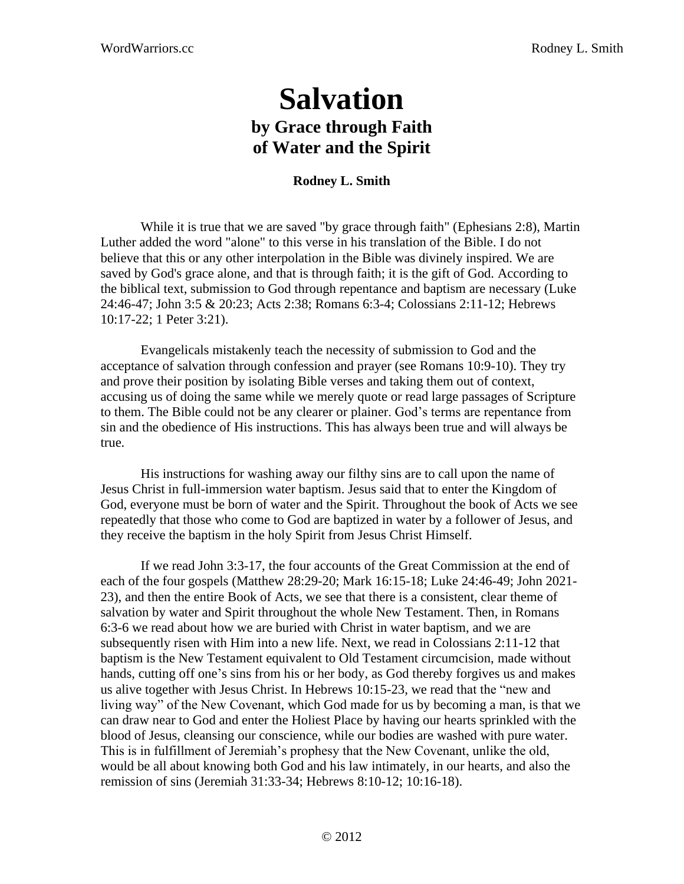## **Salvation by Grace through Faith of Water and the Spirit**

## **Rodney L. Smith**

While it is true that we are saved "by grace through faith" (Ephesians 2:8), Martin Luther added the word "alone" to this verse in his translation of the Bible. I do not believe that this or any other interpolation in the Bible was divinely inspired. We are saved by God's grace alone, and that is through faith; it is the gift of God. According to the biblical text, submission to God through repentance and baptism are necessary (Luke 24:46-47; John 3:5 & 20:23; Acts 2:38; Romans 6:3-4; Colossians 2:11-12; Hebrews 10:17-22; 1 Peter 3:21).

Evangelicals mistakenly teach the necessity of submission to God and the acceptance of salvation through confession and prayer (see Romans 10:9-10). They try and prove their position by isolating Bible verses and taking them out of context, accusing us of doing the same while we merely quote or read large passages of Scripture to them. The Bible could not be any clearer or plainer. God's terms are repentance from sin and the obedience of His instructions. This has always been true and will always be true.

His instructions for washing away our filthy sins are to call upon the name of Jesus Christ in full-immersion water baptism. Jesus said that to enter the Kingdom of God, everyone must be born of water and the Spirit. Throughout the book of Acts we see repeatedly that those who come to God are baptized in water by a follower of Jesus, and they receive the baptism in the holy Spirit from Jesus Christ Himself.

If we read John 3:3-17, the four accounts of the Great Commission at the end of each of the four gospels (Matthew 28:29-20; Mark 16:15-18; Luke 24:46-49; John 2021- 23), and then the entire Book of Acts, we see that there is a consistent, clear theme of salvation by water and Spirit throughout the whole New Testament. Then, in Romans 6:3-6 we read about how we are buried with Christ in water baptism, and we are subsequently risen with Him into a new life. Next, we read in Colossians 2:11-12 that baptism is the New Testament equivalent to Old Testament circumcision, made without hands, cutting off one's sins from his or her body, as God thereby forgives us and makes us alive together with Jesus Christ. In Hebrews 10:15-23, we read that the "new and living way" of the New Covenant, which God made for us by becoming a man, is that we can draw near to God and enter the Holiest Place by having our hearts sprinkled with the blood of Jesus, cleansing our conscience, while our bodies are washed with pure water. This is in fulfillment of Jeremiah's prophesy that the New Covenant, unlike the old, would be all about knowing both God and his law intimately, in our hearts, and also the remission of sins (Jeremiah 31:33-34; Hebrews 8:10-12; 10:16-18).